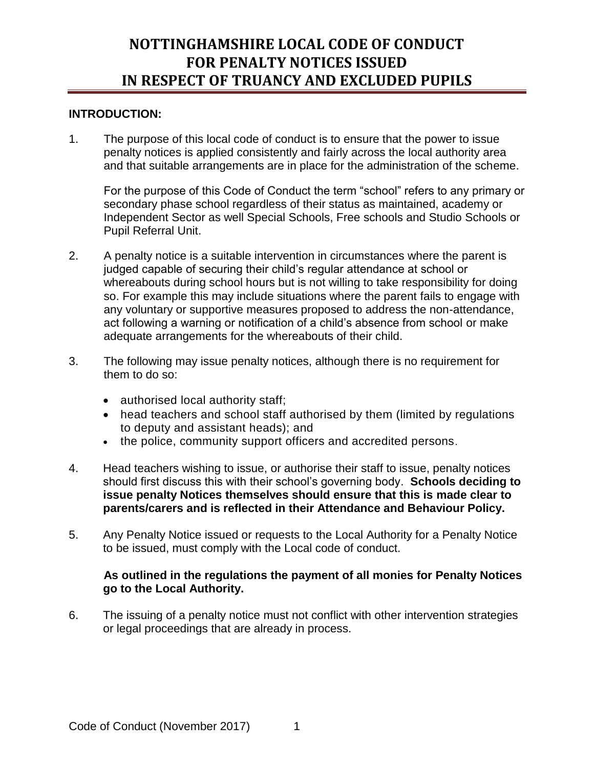### **INTRODUCTION:**

1. The purpose of this local code of conduct is to ensure that the power to issue penalty notices is applied consistently and fairly across the local authority area and that suitable arrangements are in place for the administration of the scheme.

For the purpose of this Code of Conduct the term "school" refers to any primary or secondary phase school regardless of their status as maintained, academy or Independent Sector as well Special Schools, Free schools and Studio Schools or Pupil Referral Unit.

- 2. A penalty notice is a suitable intervention in circumstances where the parent is judged capable of securing their child's regular attendance at school or whereabouts during school hours but is not willing to take responsibility for doing so. For example this may include situations where the parent fails to engage with any voluntary or supportive measures proposed to address the non-attendance, act following a warning or notification of a child's absence from school or make adequate arrangements for the whereabouts of their child.
- 3. The following may issue penalty notices, although there is no requirement for them to do so:
	- authorised local authority staff;
	- head teachers and school staff authorised by them (limited by regulations to deputy and assistant heads); and
	- the police, community support officers and accredited persons.
- 4. Head teachers wishing to issue, or authorise their staff to issue, penalty notices should first discuss this with their school's governing body. **Schools deciding to issue penalty Notices themselves should ensure that this is made clear to parents/carers and is reflected in their Attendance and Behaviour Policy.**
- 5. Any Penalty Notice issued or requests to the Local Authority for a Penalty Notice to be issued, must comply with the Local code of conduct.

#### **As outlined in the regulations the payment of all monies for Penalty Notices go to the Local Authority.**

6. The issuing of a penalty notice must not conflict with other intervention strategies or legal proceedings that are already in process.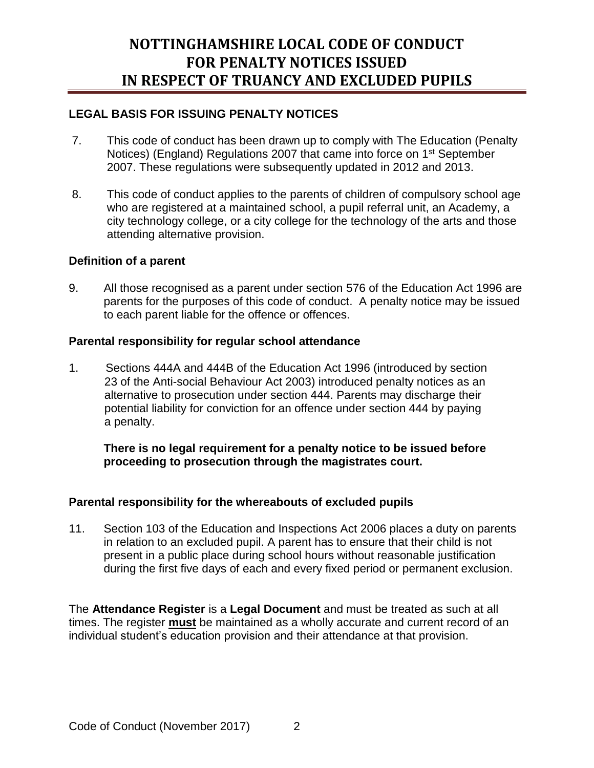## **LEGAL BASIS FOR ISSUING PENALTY NOTICES**

- 7. This code of conduct has been drawn up to comply with The Education (Penalty Notices) (England) Regulations 2007 that came into force on 1<sup>st</sup> September 2007. These regulations were subsequently updated in 2012 and 2013.
- 8. This code of conduct applies to the parents of children of compulsory school age who are registered at a maintained school, a pupil referral unit, an Academy, a city technology college, or a city college for the technology of the arts and those attending alternative provision.

#### **Definition of a parent**

9. All those recognised as a parent under section 576 of the Education Act 1996 are parents for the purposes of this code of conduct. A penalty notice may be issued to each parent liable for the offence or offences.

#### **Parental responsibility for regular school attendance**

1. Sections 444A and 444B of the Education Act 1996 (introduced by section 23 of the Anti-social Behaviour Act 2003) introduced penalty notices as an alternative to prosecution under section 444. Parents may discharge their potential liability for conviction for an offence under section 444 by paying a penalty.

### **There is no legal requirement for a penalty notice to be issued before proceeding to prosecution through the magistrates court.**

### **Parental responsibility for the whereabouts of excluded pupils**

11. Section 103 of the Education and Inspections Act 2006 places a duty on parents in relation to an excluded pupil. A parent has to ensure that their child is not present in a public place during school hours without reasonable justification during the first five days of each and every fixed period or permanent exclusion.

The **Attendance Register** is a **Legal Document** and must be treated as such at all times. The register **must** be maintained as a wholly accurate and current record of an individual student's education provision and their attendance at that provision.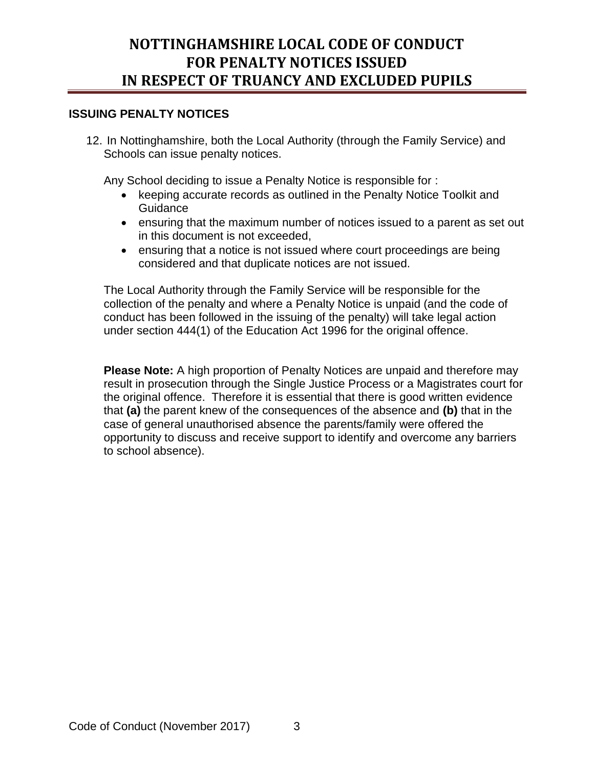#### **ISSUING PENALTY NOTICES**

12. In Nottinghamshire, both the Local Authority (through the Family Service) and Schools can issue penalty notices.

Any School deciding to issue a Penalty Notice is responsible for :

- keeping accurate records as outlined in the Penalty Notice Toolkit and **Guidance**
- ensuring that the maximum number of notices issued to a parent as set out in this document is not exceeded,
- ensuring that a notice is not issued where court proceedings are being considered and that duplicate notices are not issued.

The Local Authority through the Family Service will be responsible for the collection of the penalty and where a Penalty Notice is unpaid (and the code of conduct has been followed in the issuing of the penalty) will take legal action under section 444(1) of the Education Act 1996 for the original offence.

**Please Note:** A high proportion of Penalty Notices are unpaid and therefore may result in prosecution through the Single Justice Process or a Magistrates court for the original offence. Therefore it is essential that there is good written evidence that **(a)** the parent knew of the consequences of the absence and **(b)** that in the case of general unauthorised absence the parents/family were offered the opportunity to discuss and receive support to identify and overcome any barriers to school absence).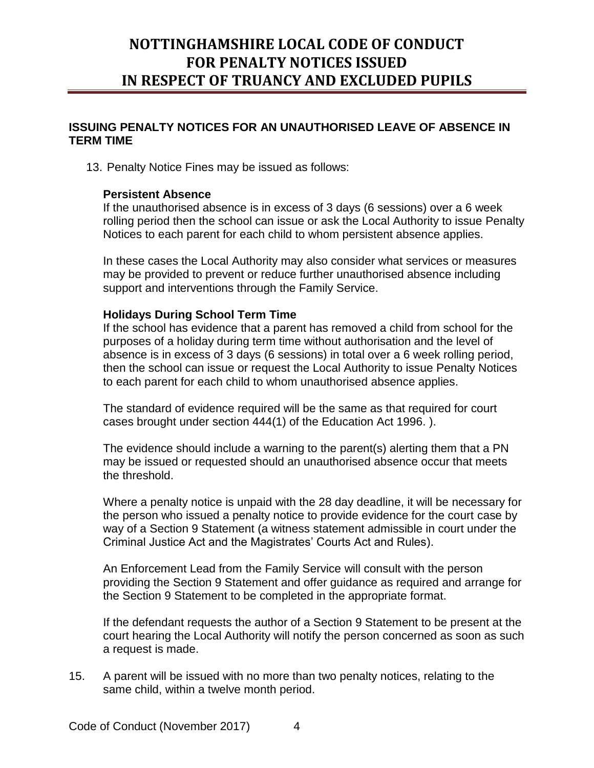#### **ISSUING PENALTY NOTICES FOR AN UNAUTHORISED LEAVE OF ABSENCE IN TERM TIME**

13. Penalty Notice Fines may be issued as follows:

#### **Persistent Absence**

If the unauthorised absence is in excess of 3 days (6 sessions) over a 6 week rolling period then the school can issue or ask the Local Authority to issue Penalty Notices to each parent for each child to whom persistent absence applies.

In these cases the Local Authority may also consider what services or measures may be provided to prevent or reduce further unauthorised absence including support and interventions through the Family Service.

#### **Holidays During School Term Time**

If the school has evidence that a parent has removed a child from school for the purposes of a holiday during term time without authorisation and the level of absence is in excess of 3 days (6 sessions) in total over a 6 week rolling period, then the school can issue or request the Local Authority to issue Penalty Notices to each parent for each child to whom unauthorised absence applies.

The standard of evidence required will be the same as that required for court cases brought under section 444(1) of the Education Act 1996. ).

The evidence should include a warning to the parent(s) alerting them that a PN may be issued or requested should an unauthorised absence occur that meets the threshold.

Where a penalty notice is unpaid with the 28 day deadline, it will be necessary for the person who issued a penalty notice to provide evidence for the court case by way of a Section 9 Statement (a witness statement admissible in court under the Criminal Justice Act and the Magistrates' Courts Act and Rules).

An Enforcement Lead from the Family Service will consult with the person providing the Section 9 Statement and offer guidance as required and arrange for the Section 9 Statement to be completed in the appropriate format.

If the defendant requests the author of a Section 9 Statement to be present at the court hearing the Local Authority will notify the person concerned as soon as such a request is made.

15. A parent will be issued with no more than two penalty notices, relating to the same child, within a twelve month period.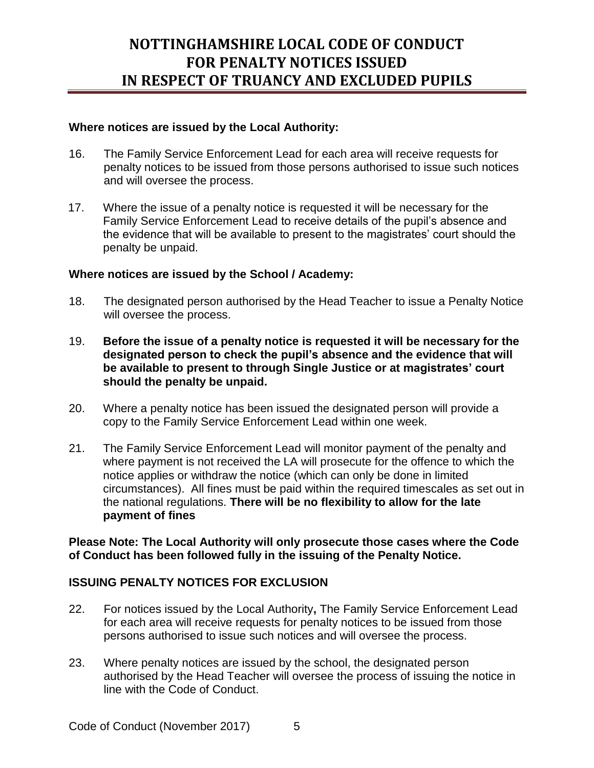#### **Where notices are issued by the Local Authority:**

- 16. The Family Service Enforcement Lead for each area will receive requests for penalty notices to be issued from those persons authorised to issue such notices and will oversee the process.
- 17. Where the issue of a penalty notice is requested it will be necessary for the Family Service Enforcement Lead to receive details of the pupil's absence and the evidence that will be available to present to the magistrates' court should the penalty be unpaid.

### **Where notices are issued by the School / Academy:**

- 18. The designated person authorised by the Head Teacher to issue a Penalty Notice will oversee the process.
- 19. **Before the issue of a penalty notice is requested it will be necessary for the designated person to check the pupil's absence and the evidence that will be available to present to through Single Justice or at magistrates' court should the penalty be unpaid.**
- 20. Where a penalty notice has been issued the designated person will provide a copy to the Family Service Enforcement Lead within one week.
- 21. The Family Service Enforcement Lead will monitor payment of the penalty and where payment is not received the LA will prosecute for the offence to which the notice applies or withdraw the notice (which can only be done in limited circumstances). All fines must be paid within the required timescales as set out in the national regulations. **There will be no flexibility to allow for the late payment of fines**

**Please Note: The Local Authority will only prosecute those cases where the Code of Conduct has been followed fully in the issuing of the Penalty Notice.**

### **ISSUING PENALTY NOTICES FOR EXCLUSION**

- 22. For notices issued by the Local Authority**,** The Family Service Enforcement Lead for each area will receive requests for penalty notices to be issued from those persons authorised to issue such notices and will oversee the process.
- 23. Where penalty notices are issued by the school, the designated person authorised by the Head Teacher will oversee the process of issuing the notice in line with the Code of Conduct.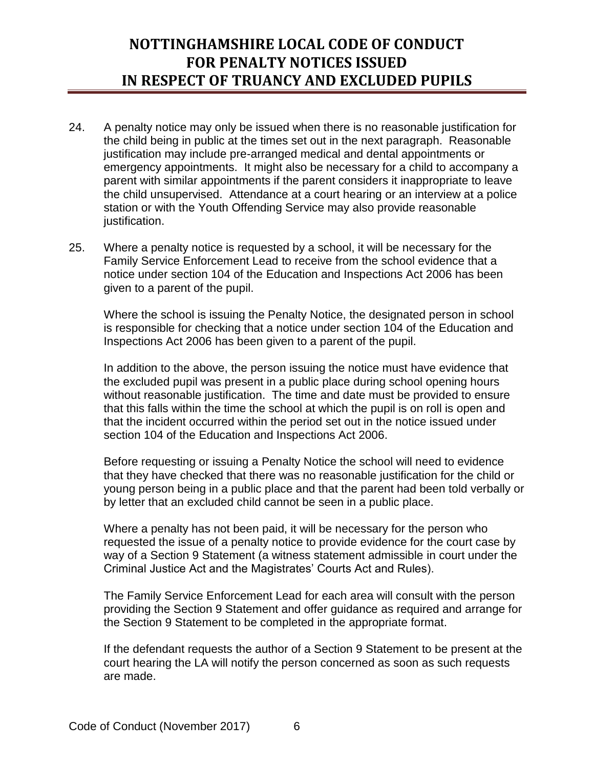- 24. A penalty notice may only be issued when there is no reasonable justification for the child being in public at the times set out in the next paragraph. Reasonable justification may include pre-arranged medical and dental appointments or emergency appointments. It might also be necessary for a child to accompany a parent with similar appointments if the parent considers it inappropriate to leave the child unsupervised. Attendance at a court hearing or an interview at a police station or with the Youth Offending Service may also provide reasonable justification.
- 25. Where a penalty notice is requested by a school, it will be necessary for the Family Service Enforcement Lead to receive from the school evidence that a notice under section 104 of the Education and Inspections Act 2006 has been given to a parent of the pupil.

Where the school is issuing the Penalty Notice, the designated person in school is responsible for checking that a notice under section 104 of the Education and Inspections Act 2006 has been given to a parent of the pupil.

In addition to the above, the person issuing the notice must have evidence that the excluded pupil was present in a public place during school opening hours without reasonable justification. The time and date must be provided to ensure that this falls within the time the school at which the pupil is on roll is open and that the incident occurred within the period set out in the notice issued under section 104 of the Education and Inspections Act 2006.

Before requesting or issuing a Penalty Notice the school will need to evidence that they have checked that there was no reasonable justification for the child or young person being in a public place and that the parent had been told verbally or by letter that an excluded child cannot be seen in a public place.

Where a penalty has not been paid, it will be necessary for the person who requested the issue of a penalty notice to provide evidence for the court case by way of a Section 9 Statement (a witness statement admissible in court under the Criminal Justice Act and the Magistrates' Courts Act and Rules).

The Family Service Enforcement Lead for each area will consult with the person providing the Section 9 Statement and offer guidance as required and arrange for the Section 9 Statement to be completed in the appropriate format.

If the defendant requests the author of a Section 9 Statement to be present at the court hearing the LA will notify the person concerned as soon as such requests are made.